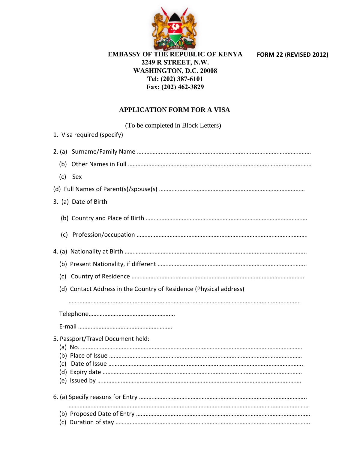

**FORM 22** (**REVISED 2012)**

## **EMBASSY OF THE REPUBLIC OF KENYA 2249 R STREET, N.W. WASHINGTON, D.C. 20008 Tel: (202) 387-6101 Fax: (202) 462-3829**

## **APPLICATION FORM FOR A VISA**

(To be completed in Block Letters)

|         | 1. Visa required (specify)<br>$\vert \textbf{\texttt{+}} \vert$<br>DIPLOMATIC, OFFICIAL, SERVICE/COURTESY |
|---------|-----------------------------------------------------------------------------------------------------------|
|         |                                                                                                           |
|         |                                                                                                           |
| (c) Sex |                                                                                                           |
|         |                                                                                                           |
|         | 3. (a) Date of Birth                                                                                      |
|         |                                                                                                           |
|         |                                                                                                           |
|         |                                                                                                           |
|         |                                                                                                           |
|         |                                                                                                           |
|         | (d) Contact Address in the Country of Residence (Physical address)                                        |
|         |                                                                                                           |
|         |                                                                                                           |
|         |                                                                                                           |
|         | 5. Passport/Travel Document held:                                                                         |
|         |                                                                                                           |
|         |                                                                                                           |